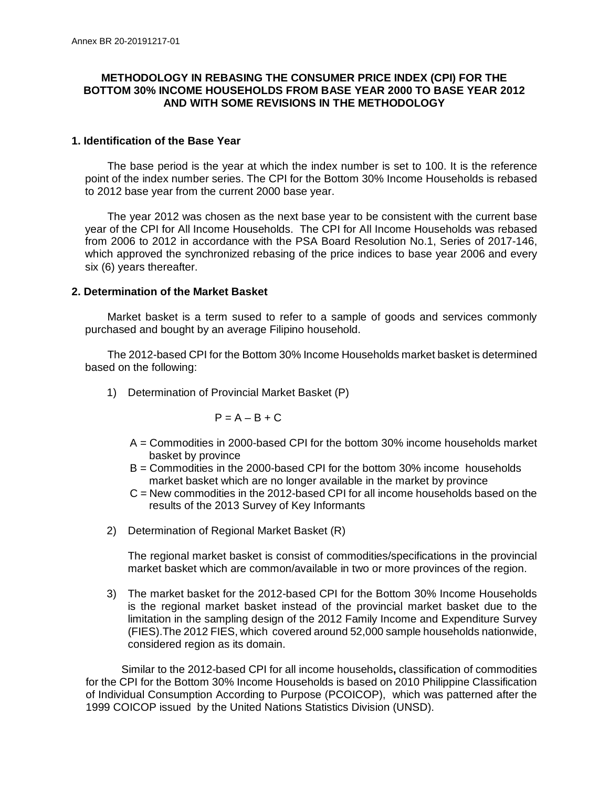## **METHODOLOGY IN REBASING THE CONSUMER PRICE INDEX (CPI) FOR THE BOTTOM 30% INCOME HOUSEHOLDS FROM BASE YEAR 2000 TO BASE YEAR 2012 AND WITH SOME REVISIONS IN THE METHODOLOGY**

### **1. Identification of the Base Year**

The base period is the year at which the index number is set to 100. It is the reference point of the index number series. The CPI for the Bottom 30% Income Households is rebased to 2012 base year from the current 2000 base year.

The year 2012 was chosen as the next base year to be consistent with the current base year of the CPI for All Income Households. The CPI for All Income Households was rebased from 2006 to 2012 in accordance with the PSA Board Resolution No.1, Series of 2017-146, which approved the synchronized rebasing of the price indices to base year 2006 and every six (6) years thereafter.

# **2. Determination of the Market Basket**

Market basket is a term sused to refer to a sample of goods and services commonly purchased and bought by an average Filipino household.

The 2012-based CPI for the Bottom 30% Income Households market basket is determined based on the following:

1) Determination of Provincial Market Basket (P)

$$
P = A - B + C
$$

- A = Commodities in 2000-based CPI for the bottom 30% income households market basket by province
- B = Commodities in the 2000-based CPI for the bottom 30% income households market basket which are no longer available in the market by province
- C = New commodities in the 2012-based CPI for all income households based on the results of the 2013 Survey of Key Informants
- 2) Determination of Regional Market Basket (R)

The regional market basket is consist of commodities/specifications in the provincial market basket which are common/available in two or more provinces of the region.

3) The market basket for the 2012-based CPI for the Bottom 30% Income Households is the regional market basket instead of the provincial market basket due to the limitation in the sampling design of the 2012 Family Income and Expenditure Survey (FIES).The 2012 FIES, which covered around 52,000 sample households nationwide, considered region as its domain.

Similar to the 2012-based CPI for all income households**,** classification of commodities for the CPI for the Bottom 30% Income Households is based on 2010 Philippine Classification of Individual Consumption According to Purpose (PCOICOP), which was patterned after the 1999 COICOP issued by the United Nations Statistics Division (UNSD).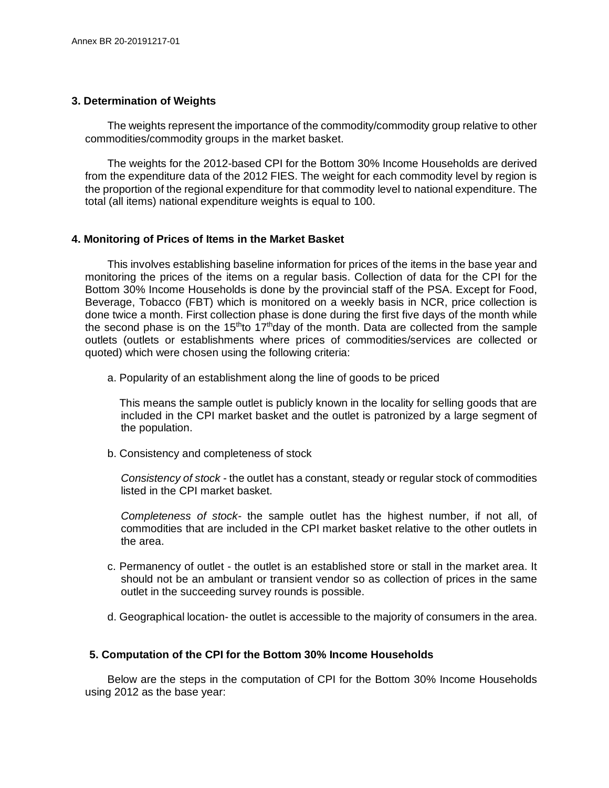### **3. Determination of Weights**

The weights represent the importance of the commodity/commodity group relative to other commodities/commodity groups in the market basket.

The weights for the 2012-based CPI for the Bottom 30% Income Households are derived from the expenditure data of the 2012 FIES. The weight for each commodity level by region is the proportion of the regional expenditure for that commodity level to national expenditure. The total (all items) national expenditure weights is equal to 100.

### **4. Monitoring of Prices of Items in the Market Basket**

This involves establishing baseline information for prices of the items in the base year and monitoring the prices of the items on a regular basis. Collection of data for the CPI for the Bottom 30% Income Households is done by the provincial staff of the PSA. Except for Food, Beverage, Tobacco (FBT) which is monitored on a weekly basis in NCR, price collection is done twice a month. First collection phase is done during the first five days of the month while the second phase is on the 15<sup>th</sup>to 17<sup>th</sup>day of the month. Data are collected from the sample outlets (outlets or establishments where prices of commodities/services are collected or quoted) which were chosen using the following criteria:

a. Popularity of an establishment along the line of goods to be priced

 This means the sample outlet is publicly known in the locality for selling goods that are included in the CPI market basket and the outlet is patronized by a large segment of the population.

b. Consistency and completeness of stock

*Consistency of stock -* the outlet has a constant, steady or regular stock of commodities listed in the CPI market basket.

*Completeness of stock-* the sample outlet has the highest number, if not all, of commodities that are included in the CPI market basket relative to the other outlets in the area.

- c. Permanency of outlet the outlet is an established store or stall in the market area. It should not be an ambulant or transient vendor so as collection of prices in the same outlet in the succeeding survey rounds is possible.
- d. Geographical location- the outlet is accessible to the majority of consumers in the area.

### **5. Computation of the CPI for the Bottom 30% Income Households**

Below are the steps in the computation of CPI for the Bottom 30% Income Households using 2012 as the base year: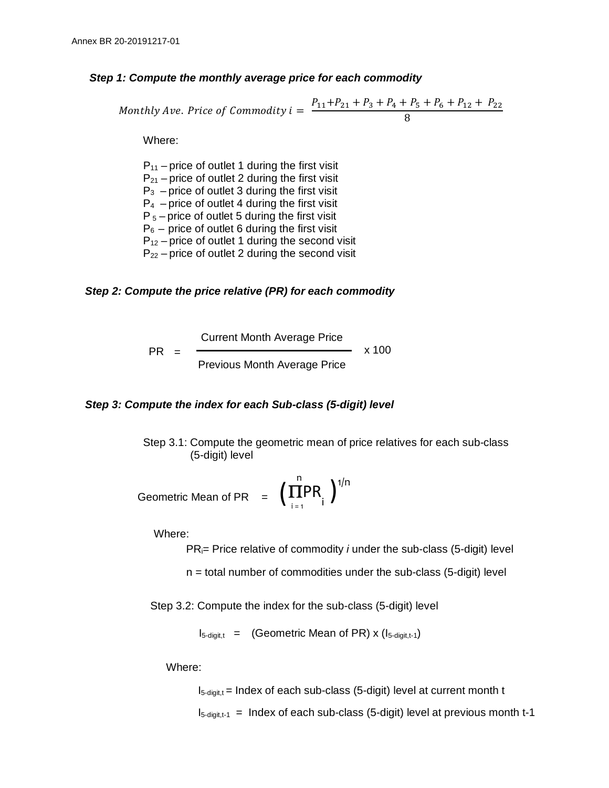#### *Step 1: Compute the monthly average price for each commodity*

Monthly Ave. Price of Commonity 
$$
i = \frac{P_{11} + P_{21} + P_3 + P_4 + P_5 + P_6 + P_{12} + P_{22}}{8}
$$

Where:

 $P_{11}$  – price of outlet 1 during the first visit  $P_{21}$  – price of outlet 2 during the first visit  $P_3$  – price of outlet 3 during the first visit  $P_4$  – price of outlet 4 during the first visit  $P_5$  – price of outlet 5 during the first visit  $P_6$  – price of outlet 6 during the first visit  $P_{12}$  – price of outlet 1 during the second visit  $P_{22}$  – price of outlet 2 during the second visit

### *Step 2: Compute the price relative (PR) for each commodity*

PR Current Month Average Price = Previous Month Average Price x 100

#### *Step 3: Compute the index for each Sub-class (5-digit) level*

Step 3.1: Compute the geometric mean of price relatives for each sub-class (5-digit) level

Geometric Mean of PR = 
$$
\left(\prod_{i=1}^{n} PR_{i}\right)^{1/n}
$$

Where:

PRi= Price relative of commodity *i* under the sub-class (5-digit) level

 $n =$  total number of commodities under the sub-class (5-digit) level

Step 3.2: Compute the index for the sub-class (5-digit) level

 $I_{5\text{-digit,t}} =$  (Geometric Mean of PR) x ( $I_{5\text{-digit,t-1}}$ )

Where:

 $I_{5\text{-doint},t}$  = Index of each sub-class (5-digit) level at current month t

 $I_{5\text{-doint},t-1}$  = Index of each sub-class (5-digit) level at previous month t-1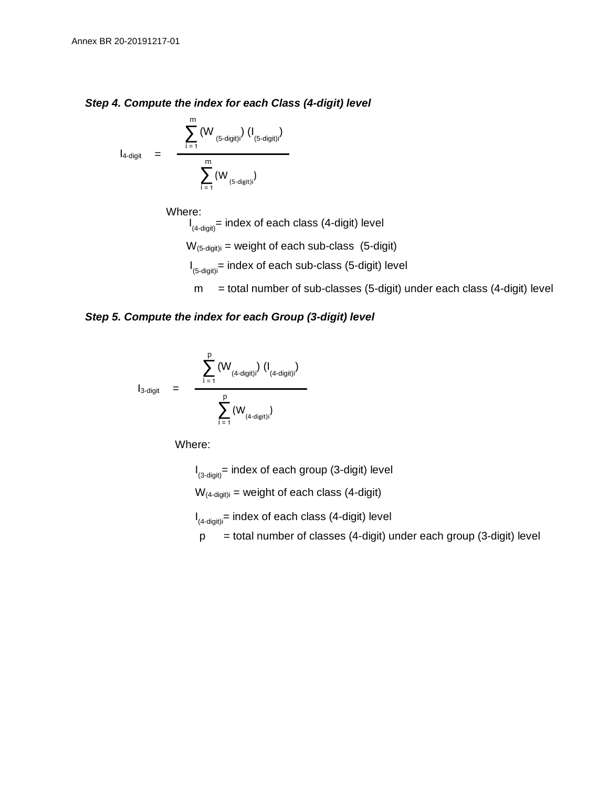### *Step 4. Compute the index for each Class (4-digit) level*

$$
I_{4\text{-digit}} = \frac{\displaystyle\sum_{i=1}^{m} (W_{(5\text{-digit})i}) (I_{(5\text{-digit})i})}{\displaystyle\sum_{i=1}^{m} (W_{(5\text{-digit})i})}
$$

Where:

 $W_{(5\text{-digit})i}$  = weight of each sub-class (5-digit) I (4-digit)= index of each class (4-digit) level

- I (5-digit)i = index of each sub-class (5-digit) level
- $m =$  total number of sub-classes (5-digit) under each class (4-digit) level

### *Step 5. Compute the index for each Group (3-digit) level*

$$
I_{3\text{-digit}} = \frac{\displaystyle\sum_{i=1}^{p} \left(W_{(4\text{-digit})i}\right) \left(I_{(4\text{-digit})i}\right)}{\displaystyle\sum_{i=1}^{p} \left(W_{(4\text{-digit})i}\right)}
$$

Where:

I (3-digit)= index of each group (3-digit) level

 $W_{(4\t{-\text{digit}})}$  = weight of each class (4-digit)

I (4-digit)i = index of each class (4-digit) level

 $p =$  total number of classes (4-digit) under each group (3-digit) level